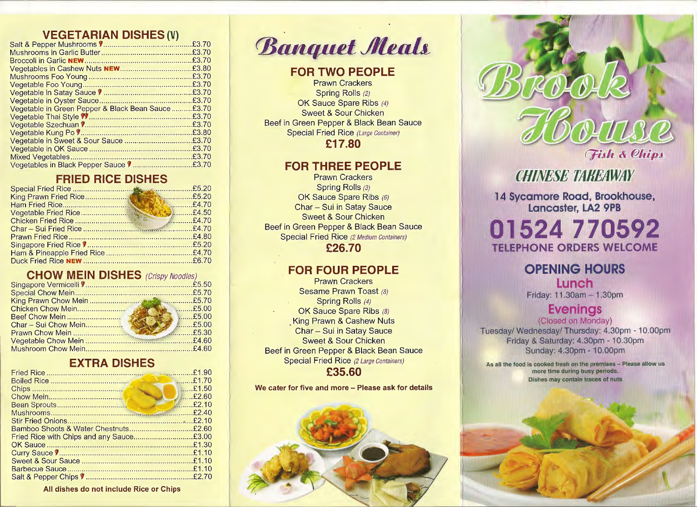#### **VEGETARIAN DISHES (V)**

| Vegetable in Green Pepper & Black Bean Sauce£3.70 |  |
|---------------------------------------------------|--|
|                                                   |  |
|                                                   |  |
|                                                   |  |
|                                                   |  |
|                                                   |  |
|                                                   |  |
| Vegetables in Black Pepper Sauce V£3.70           |  |

### **FRIED RICE DISHES**

#### **CHOW MEIN DISHES** (Crispy Noodles)

| <b>E5.00</b> |
|--------------|
|              |
|              |
|              |
|              |

#### **EXTRA DISHES**

| Fried Rice with Chips and any Sauce£3.00 |  |
|------------------------------------------|--|
|                                          |  |
|                                          |  |
|                                          |  |
|                                          |  |
|                                          |  |

**All dishes do not include Rice or Chips** 

*Banquet Meals* 

## **FOR TWO PEOPLE**

Prawn Crackers Spring Rolls (2) OK Sauce Spare Ribs (4) Sweet & Sour Chicken Beef in Green Pepper & Black Bean Sauce Special Fried Rice (Large Container) **£17.80** 

### **FOR THREE PEOPLE**

Prawn Crackers Spring Rolls (3) OK Sauce Spare Ribs (6) Char- Sui in Satay Sauce Sweet & Sour Chicken Beef in Green Pepper & Black Bean Sauce Special Fried Rice (2 Medium Containers) **£26.70** 

## **FOR FOUR PEOPLE**

Prawn Crackers Sesame Prawn Toast (8) Spring Rolls (4) OK Sauce Spare Ribs (8) **King Prawn & Cashew Nuts** Char- Sui in Satay Sauce Sweet & Sour Chicken Beef in Green Pepper & Black Bean Sauce Special Fried Rice (2 Large Containers) **£35.60** 

**We cater for five and more - Please ask for details** 





# **CHINESE TABEAWAY**

**l 4 svcamore Road, Brookhouse,, tancaster, LA2 9PB** 

#### $0152477$  $10592$ . ... ·' L.: . . •' **ORDERS WELCOME**

## **OPENING HOURS Lunch** Friday: 11.30am - 1.30pm

# **Evenings**

(Closed on Monday) Tuesday/ Wednesday/ Thursday: 4.30pm - 10.00pm Friday & Saturday: 4.30pm - 10.30pm Sunday: 4.30pm - 10.00pm

As all the food is cooked fresh on the premises - Please allow us more time during busy periods. Dishes may contain traces of nuts